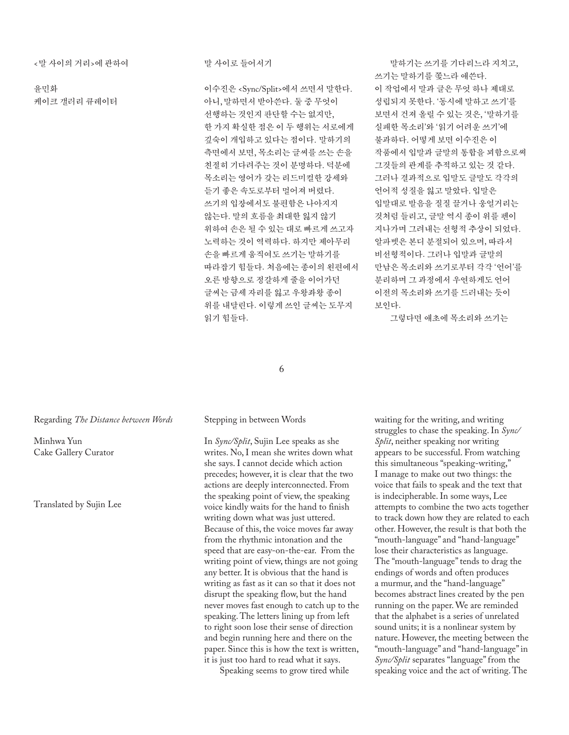<말 사이의 거리>에 관하여

윤민화 케이크 갤러리 큐레이터 말 사이로 들어서기

이수진은 <Sync/Split>에서 쓰면서 말한다. 아니, 말하면서 받아쓴다. 둘 중 무엇이 선행하는 것인지 판단할 수는 없지만, 한 가지 확실한 점은 이 두 행위는 서로에게 깊숙이 개입하고 있다는 점이다. 말하기의 측면에서 보면, 목소리는 글씨를 쓰는 손을 친절히 기다려주는 것이 분명하다. 덕분에 목소리는 영어가 갖는 리드미컬한 강세와 듣기 좋은 속도로부터 멀어져 버렸다. 쓰기의 입장에서도 불편함은 나아지지 않는다. 말의 흐름을 최대한 잃지 않기 위하여 손은 될 수 있는 대로 빠르게 쓰고자 노력하는 것이 역력하다. 하지만 제아무리 손을 빠르게 움직여도 쓰기는 말하기를 따라잡기 힘들다. 처음에는 종이의 왼편에서 오른 방향으로 정갈하게 줄을 이어가던 글씨는 금세 자리를 잃고 우왕좌왕 종이 위를 내달린다. 이렇게 쓰인 글씨는 도무지 읽기 힘들다.

말하기는 쓰기를 기다리느라 지치고, 쓰기는 말하기를 쫓느라 애쓴다. 이 작업에서 말과 글은 무엇 하나 제대로 성립되지 못한다. '동시에 말하고 쓰기'를 보면서 건져 올릴 수 있는 것은, '말하기를 실패한 목소리'와 '읽기 어려운 쓰기'에 불과하다. 어떻게 보면 이수진은 이 작품에서 입말과 글말의 통합을 꾀함으로써 그것들의 관계를 추적하고 있는 것 같다. 그러나 결과적으로 입말도 글말도 각각의 언어적 성질을 잃고 말았다. 입말은 입말대로 발음을 질질 끌거나 웅얼거리는 것처럼 들리고, 글말 역시 종이 위를 펜이 지나가며 그려내는 선형적 추상이 되었다. 알파벳은 본디 분절되어 있으며, 따라서 비선형적이다. 그러나 입말과 글말의 만남은 목소리와 쓰기로부터 각각 '언어'를 분리하며 그 과정에서 우연하게도 언어 이전의 목소리와 쓰기를 드러내는 듯이 보인다.

그렇다면 애초에 목소리와 쓰기는

6

#### Regarding *The Distance between Words*

Minhwa Yun Cake Gallery Curator

Translated by Sujin Lee

#### Stepping in between Words

In *Sync/Split*, Sujin Lee speaks as she writes. No, I mean she writes down what she says. I cannot decide which action precedes; however, it is clear that the two actions are deeply interconnected. From the speaking point of view, the speaking voice kindly waits for the hand to finish writing down what was just uttered. Because of this, the voice moves far away from the rhythmic intonation and the speed that are easy-on-the-ear. From the writing point of view, things are not going any better. It is obvious that the hand is writing as fast as it can so that it does not disrupt the speaking flow, but the hand never moves fast enough to catch up to the speaking. The letters lining up from left to right soon lose their sense of direction and begin running here and there on the paper. Since this is how the text is written, it is just too hard to read what it says.

Speaking seems to grow tired while

waiting for the writing, and writing struggles to chase the speaking. In *Sync/ Split*, neither speaking nor writing appears to be successful. From watching this simultaneous "speaking-writing," I manage to make out two things: the voice that fails to speak and the text that is indecipherable. In some ways, Lee attempts to combine the two acts together to track down how they are related to each other. However, the result is that both the "mouth-language" and "hand-language" lose their characteristics as language. The "mouth-language" tends to drag the endings of words and often produces a murmur, and the "hand-language" becomes abstract lines created by the pen running on the paper. We are reminded that the alphabet is a series of unrelated sound units; it is a nonlinear system by nature. However, the meeting between the "mouth-language" and "hand-language" in *Sync/Split* separates "language" from the speaking voice and the act of writing. The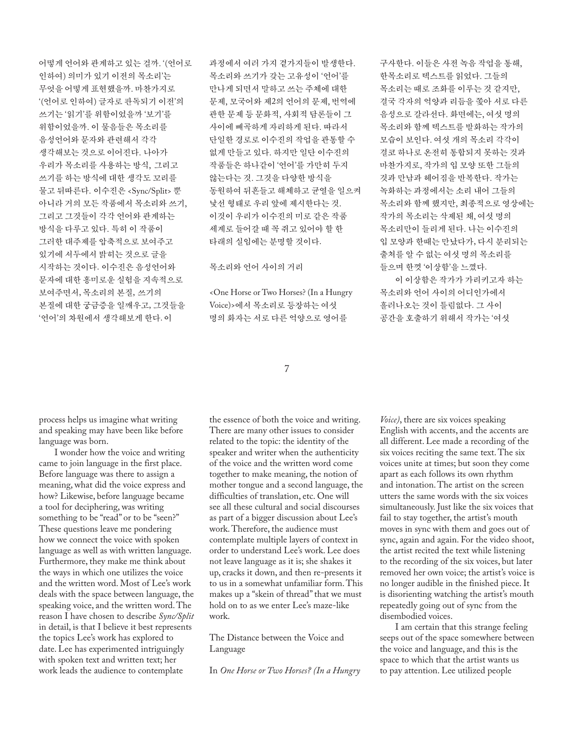어떻게 언어와 관계하고 있는 걸까. '(언어로 인하여) 의미가 있기 이전의 목소리'는 무엇을 어떻게 표현했을까. 마찬가지로 '(언어로 인하여) 글자로 판독되기 이전'의 쓰기는 '읽기'를 위함이었을까 '보기'를 위함이었을까. 이 물음들은 목소리를 음성언어와 문자와 관련해서 각각 생각해보는 것으로 이어진다. 나아가 우리가 목소리를 사용하는 방식, 그리고 쓰기를 하는 방식에 대한 생각도 꼬리를 물고 뒤따른다. 이수진은 <Sync/Split> 뿐 아니라 거의 모든 작품에서 목소리와 쓰기, 그리고 그것들이 각각 언어와 관계하는 방식을 다루고 있다. 특히 이 작품이 그러한 대주제를 압축적으로 보여주고 있기에 서두에서 밝히는 것으로 글을 시작하는 것이다. 이수진은 음성언어와 문자에 대한 흥미로운 실험을 지속적으로 보여주면서, 목소리의 본질, 쓰기의 본질에 대한 궁금증을 일깨우고, 그것들을 '언어'의 차원에서 생각해보게 한다. 이

과정에서 여러 가지 곁가지들이 발생한다. 목소리와 쓰기가 갖는 고유성이 '언어'를 만나게 되면서 말하고 쓰는 주체에 대한 문제, 모국어와 제2의 언어의 문제, 번역에 관한 문제 등 문화적, 사회적 담론들이 그 사이에 빼곡하게 자리하게 된다. 따라서 단일한 경로로 이수진의 작업을 관통할 수 없게 만들고 있다. 하지만 일단 이수진의 작품들은 하나같이 '언어'를 가만히 두지 않는다는 것. 그것을 다양한 방식을 동원하여 뒤흔들고 해체하고 균열을 일으켜 낯선 형태로 우리 앞에 제시한다는 것. 이것이 우리가 이수진의 미로 같은 작품 세계로 들어갈 때 꼭 쥐고 있어야 할 한 타래의 실임에는 분명할 것이다.

목소리와 언어 사이의 거리

<One Horse or Two Horses? (In a Hungry Voice)>에서 목소리로 등장하는 여섯 명의 화자는 서로 다른 억양으로 영어를

구사한다. 이들은 사전 녹음 작업을 통해, 한목소리로 텍스트를 읽었다. 그들의 목소리는 때로 조화를 이루는 것 같지만, 결국 각자의 억양과 리듬을 쫓아 서로 다른 음성으로 갈라선다. 화면에는, 여섯 명의 목소리와 함께 텍스트를 발화하는 작가의 모습이 보인다. 여섯 개의 목소리 각각이 결코 하나로 온전히 통합되지 못하는 것과 마찬가지로, 작가의 입 모양 또한 그들의 것과 만남과 헤어짐을 반복한다. 작가는 녹화하는 과정에서는 소리 내어 그들의 목소리와 함께 했지만, 최종적으로 영상에는 작가의 목소리는 삭제된 채, 여섯 명의 목소리만이 들리게 된다. 나는 이수진의 입 모양과 한때는 만났다가, 다시 분리되는 출처를 알 수 없는 여섯 명의 목소리를 들으며 한껏 '이상함'을 느꼈다.

이 이상함은 작가가 가리키고자 하는 목소리와 언어 사이의 어디인가에서 흘러나오는 것이 틀림없다. 그 사이 공간을 호출하기 위해서 작가는 '여섯

7

process helps us imagine what writing and speaking may have been like before language was born.

I wonder how the voice and writing came to join language in the first place. Before language was there to assign a meaning, what did the voice express and how? Likewise, before language became a tool for deciphering, was writing something to be "read" or to be "seen?" These questions leave me pondering how we connect the voice with spoken language as well as with written language. Furthermore, they make me think about the ways in which one utilizes the voice and the written word. Most of Lee's work deals with the space between language, the speaking voice, and the written word. The reason I have chosen to describe *Sync/Split* in detail, is that I believe it best represents the topics Lee's work has explored to date. Lee has experimented intriguingly with spoken text and written text; her work leads the audience to contemplate

the essence of both the voice and writing. There are many other issues to consider related to the topic: the identity of the speaker and writer when the authenticity of the voice and the written word come together to make meaning, the notion of mother tongue and a second language, the difficulties of translation, etc. One will see all these cultural and social discourses as part of a bigger discussion about Lee's work. Therefore, the audience must contemplate multiple layers of context in order to understand Lee's work. Lee does not leave language as it is; she shakes it up, cracks it down, and then re-presents it to us in a somewhat unfamiliar form. This makes up a "skein of thread" that we must hold on to as we enter Lee's maze-like work.

The Distance between the Voice and Language

In *One Horse or Two Horses? (In a Hungry* 

*Voice)*, there are six voices speaking English with accents, and the accents are all different. Lee made a recording of the six voices reciting the same text. The six voices unite at times; but soon they come apart as each follows its own rhythm and intonation. The artist on the screen utters the same words with the six voices simultaneously. Just like the six voices that fail to stay together, the artist's mouth moves in sync with them and goes out of sync, again and again. For the video shoot, the artist recited the text while listening to the recording of the six voices, but later removed her own voice; the artist's voice is no longer audible in the finished piece. It is disorienting watching the artist's mouth repeatedly going out of sync from the disembodied voices.

I am certain that this strange feeling seeps out of the space somewhere between the voice and language, and this is the space to which that the artist wants us to pay attention. Lee utilized people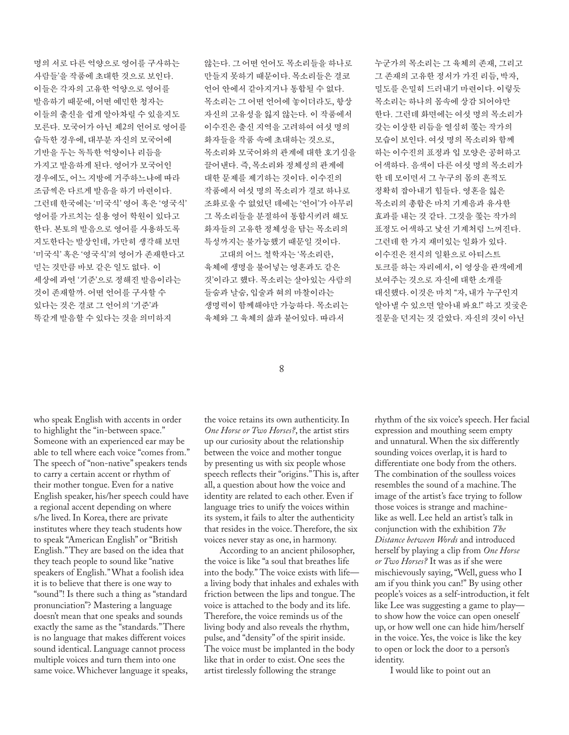명의 서로 다른 억양으로 영어를 구사하는 사람들'을 작품에 초대한 것으로 보인다. 이들은 각자의 고유한 억양으로 영어를 발음하기 때문에, 어떤 예민한 청자는 이들의 출신을 쉽게 알아차릴 수 있을지도 모른다. 모국어가 아닌 제2의 언어로 영어를 습득한 경우에, 대부분 자신의 모국어에 기반을 두는 독특한 억양이나 리듬을 가지고 발음하게 된다. 영어가 모국어인 경우에도, 어느 지방에 거주하느냐에 따라 조금씩은 다르게 발음을 하기 마련이다. 그런데 한국에는 '미국식' 영어 혹은 '영국식' 영어를 가르치는 실용 영어 학원이 있다고 한다. 본토의 발음으로 영어를 사용하도록 지도한다는 발상인데, 가만히 생각해 보면 '미국식' 혹은 '영국식'의 영어가 존재한다고 믿는 것만큼 바보 같은 일도 없다. 이 세상에 과연 '기준'으로 정해진 발음이라는 것이 존재할까. 어떤 언어를 구사할 수 있다는 것은 결코 그 언어의 '기준'과 똑같게 발음할 수 있다는 것을 의미하지

않는다. 그 어떤 언어도 목소리들을 하나로 만들지 못하기 때문이다. 목소리들은 결코 언어 안에서 같아지거나 통합될 수 없다. 목소리는 그 어떤 언어에 놓이더라도, 항상 자신의 고유성을 잃지 않는다. 이 작품에서 이수진은 출신 지역을 고려하여 여섯 명의 화자들을 작품 속에 초대하는 것으로, 목소리와 모국어와의 관계에 대한 호기심을 끌어낸다. 즉, 목소리와 정체성의 관계에 대한 문제를 제기하는 것이다. 이수진의 작품에서 여섯 명의 목소리가 결코 하나로 조화로울 수 없었던 데에는 '언어'가 아무리 그 목소리들을 분절하여 통합시키려 해도 화자들의 고유한 정체성을 담는 목소리의 특성까지는 불가능했기 때문일 것이다.

고대의 어느 철학자는 '목소리란, 육체에 생명을 불어넣는 영혼과도 같은 것'이라고 했다. 목소리는 살아있는 사람의 들숨과 날숨, 입술과 혀의 마찰이라는 생명력이 함께해야만 가능하다. 목소리는 육체와 그 육체의 삶과 붙어있다. 따라서

누군가의 목소리는 그 육체의 존재, 그리고 그 존재의 고유한 정서가 가진 리듬, 박자, 밀도를 은밀히 드러내기 마련이다. 이렇듯 목소리는 하나의 몸속에 상감 되어야만 한다. 그런데 화면에는 여섯 명의 목소리가 갖는 이상한 리듬을 열심히 쫓는 작가의 모습이 보인다. 여섯 명의 목소리와 함께 하는 이수진의 표정과 입 모양은 공허하고 어색하다. 음색이 다른 여섯 명의 목소리가 한 데 모이면서 그 누구의 몸의 흔적도 정확히 잡아내기 힘들다. 영혼을 잃은 목소리의 총합은 마치 기계음과 유사한 효과를 내는 것 같다. 그것을 쫓는 작가의 표정도 어색하고 낯선 기계처럼 느껴진다. 그런데 한 가지 재미있는 일화가 있다. 이수진은 전시의 일환으로 아티스트 토크를 하는 자리에서, 이 영상을 관객에게 보여주는 것으로 자신에 대한 소개를 대신했다. 이것은 마치 "자, 내가 누구인지 알아낼 수 있으면 알아내 봐요!" 하고 짓궂은 질문을 던지는 것 같았다. 자신의 것이 아닌

8

who speak English with accents in order to highlight the "in-between space." Someone with an experienced ear may be able to tell where each voice "comes from." The speech of "non-native" speakers tends to carry a certain accent or rhythm of their mother tongue. Even for a native English speaker, his/her speech could have a regional accent depending on where s/he lived. In Korea, there are private institutes where they teach students how to speak "American English" or "British English." They are based on the idea that they teach people to sound like "native speakers of English." What a foolish idea it is to believe that there is one way to "sound"! Is there such a thing as "standard pronunciation"? Mastering a language doesn't mean that one speaks and sounds exactly the same as the "standards." There is no language that makes different voices sound identical. Language cannot process multiple voices and turn them into one same voice. Whichever language it speaks,

the voice retains its own authenticity. In *One Horse or Two Horses?*, the artist stirs up our curiosity about the relationship between the voice and mother tongue by presenting us with six people whose speech reflects their "origins." This is, after all, a question about how the voice and identity are related to each other. Even if language tries to unify the voices within its system, it fails to alter the authenticity that resides in the voice. Therefore, the six voices never stay as one, in harmony.

According to an ancient philosopher, the voice is like "a soul that breathes life into the body." The voice exists with life a living body that inhales and exhales with friction between the lips and tongue. The voice is attached to the body and its life. Therefore, the voice reminds us of the living body and also reveals the rhythm, pulse, and "density" of the spirit inside. The voice must be implanted in the body like that in order to exist. One sees the artist tirelessly following the strange

rhythm of the six voice's speech. Her facial expression and mouthing seem empty and unnatural. When the six differently sounding voices overlap, it is hard to differentiate one body from the others. The combination of the soulless voices resembles the sound of a machine. The image of the artist's face trying to follow those voices is strange and machinelike as well. Lee held an artist's talk in conjunction with the exhibition *The Distance between Words* and introduced herself by playing a clip from *One Horse or Two Horses?* It was as if she were mischievously saying, "Well, guess who I am if you think you can!" By using other people's voices as a self-introduction, it felt like Lee was suggesting a game to play to show how the voice can open oneself up, or how well one can hide him/herself in the voice. Yes, the voice is like the key to open or lock the door to a person's identity.

I would like to point out an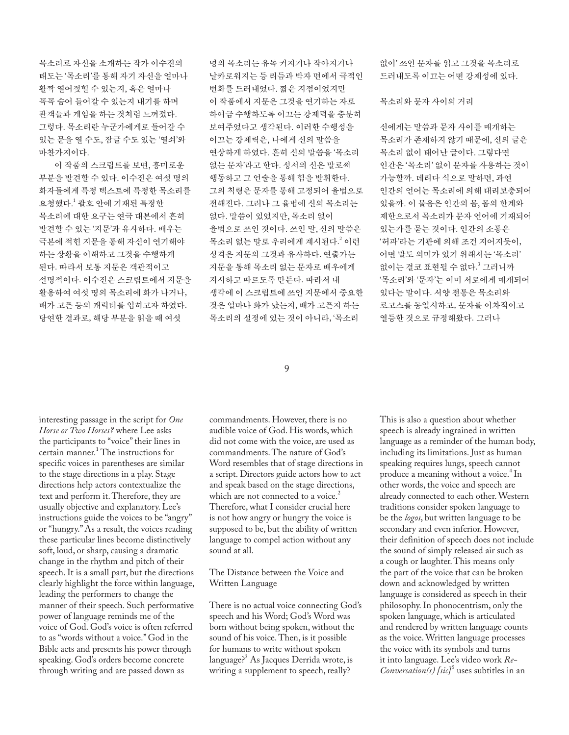목소리로 자신을 소개하는 작가 이수진의 태도는 '목소리'를 통해 자기 자신을 얼마나 활짝 열어젖힐 수 있는지, 혹은 얼마나 꼭꼭 숨어 들어갈 수 있는지 내기를 하며 관객들과 게임을 하는 것처럼 느껴졌다. 그렇다. 목소리란 누군가에게로 들어갈 수 있는 문을 열 수도, 잠글 수도 있는 '열쇠'와 마찬가지이다.

이 작품의 스크립트를 보면, 흥미로운 부분을 발견할 수 있다. 이수진은 여섯 명의 화자들에게 특정 텍스트에 특정한 목소리를 요청했다. <sup>1</sup> 괄호 안에 기재된 특정한 목소리에 대한 요구는 연극 대본에서 흔히 발견할 수 있는 '지문'과 유사하다. 배우는 극본에 적힌 지문을 통해 자신이 연기해야 하는 상황을 이해하고 그것을 수행하게 된다. 따라서 보통 지문은 객관적이고 설명적이다. 이수진은 스크립트에서 지문을 활용하여 여섯 명의 목소리에 화가 나거나, 배가 고픈 등의 캐릭터를 입히고자 하였다. 당연한 결과로, 해당 부분을 읽을 때 여섯

명의 목소리는 유독 커지거나 작아지거나 날카로워지는 등 리듬과 박자 면에서 극적인 변화를 드러내었다. 짧은 지점이었지만 이 작품에서 지문은 그것을 연기하는 자로 하여금 수행하도록 이끄는 강제력을 충분히 보여주었다고 생각된다. 이러한 수행성을 이끄는 강제력은, 나에게 신의 말씀을 연상하게 하였다. 흔히 신의 말씀을 '목소리 없는 문자'라고 한다. 성서의 신은 말로써 행동하고 그 언술을 통해 힘을 발휘한다. 그의 칙령은 문자를 통해 고정되어 율법으로 전해진다. 그러나 그 율법에 신의 목소리는 없다. 말씀이 있었지만, 목소리 없이 율법으로 쓰인 것이다. 쓰인 말, 신의 말씀은 목소리 없는 말로 우리에게 계시된다.<sup>2</sup> 이런 성격은 지문의 그것과 유사하다. 연출가는 지문을 통해 목소리 없는 문자로 배우에게 지시하고 따르도록 만든다. 따라서 내 생각에 이 스크립트에 쓰인 지문에서 중요한 것은 얼마나 화가 났는지, 배가 고픈지 하는 목소리의 설정에 있는 것이 아니라, '목소리

없이' 쓰인 문자를 읽고 그것을 목소리로 드러내도록 이끄는 어떤 강제성에 있다.

목소리와 문자 사이의 거리

신에게는 말씀과 문자 사이를 매개하는 목소리가 존재하지 않기 때문에, 신의 글은 목소리 없이 태어난 글이다. 그렇다면 인간은 '목소리' 없이 문자를 사용하는 것이 가능할까. 데리다 식으로 말하면, 과연 인간의 언어는 목소리에 의해 대리보충되어 있을까. 이 물음은 인간의 몸, 몸의 한계와 제한으로서 목소리가 문자 언어에 기재되어 있는가를 묻는 것이다. 인간의 소통은 '허파'라는 기관에 의해 조건 지어지듯이, 어떤 말도 의미가 있기 위해서는 '목소리' 없이는 결코 표현될 <mark>수</mark> 없다.<sup>3</sup> 그러니까 '목소리'와 '문자'는 이미 서로에게 매개되어 있다는 말이다. 서양 전통은 목소리와 로고스를 동일시하고, 문자를 이차적이고 열등한 것으로 규정해왔다. 그러나

9

interesting passage in the script for *One Horse or Two Horses?* where Lee asks the participants to "voice" their lines in certain manner.<sup>1</sup> The instructions for specific voices in parentheses are similar to the stage directions in a play. Stage directions help actors contextualize the text and perform it. Therefore, they are usually objective and explanatory. Lee's instructions guide the voices to be "angry" or "hungry." As a result, the voices reading these particular lines become distinctively soft, loud, or sharp, causing a dramatic change in the rhythm and pitch of their speech. It is a small part, but the directions clearly highlight the force within language, leading the performers to change the manner of their speech. Such performative power of language reminds me of the voice of God. God's voice is often referred to as "words without a voice." God in the Bible acts and presents his power through speaking. God's orders become concrete through writing and are passed down as

commandments. However, there is no audible voice of God. His words, which did not come with the voice, are used as commandments. The nature of God's Word resembles that of stage directions in a script. Directors guide actors how to act and speak based on the stage directions, which are not connected to a voice.<sup>2</sup> Therefore, what I consider crucial here is not how angry or hungry the voice is supposed to be, but the ability of written language to compel action without any sound at all.

The Distance between the Voice and Written Language

There is no actual voice connecting God's speech and his Word; God's Word was born without being spoken, without the sound of his voice. Then, is it possible for humans to write without spoken language?3 As Jacques Derrida wrote, is writing a supplement to speech, really?

This is also a question about whether speech is already ingrained in written language as a reminder of the human body, including its limitations. Just as human speaking requires lungs, speech cannot produce a meaning without a voice.<sup>4</sup> In other words, the voice and speech are already connected to each other. Western traditions consider spoken language to be the *logos*, but written language to be secondary and even inferior. However, their definition of speech does not include the sound of simply released air such as a cough or laughter. This means only the part of the voice that can be broken down and acknowledged by written language is considered as speech in their philosophy. In phonocentrism, only the spoken language, which is articulated and rendered by written language counts as the voice. Written language processes the voice with its symbols and turns it into language. Lee's video work *Re-Conversation(s)* [sic]<sup>5</sup> uses subtitles in an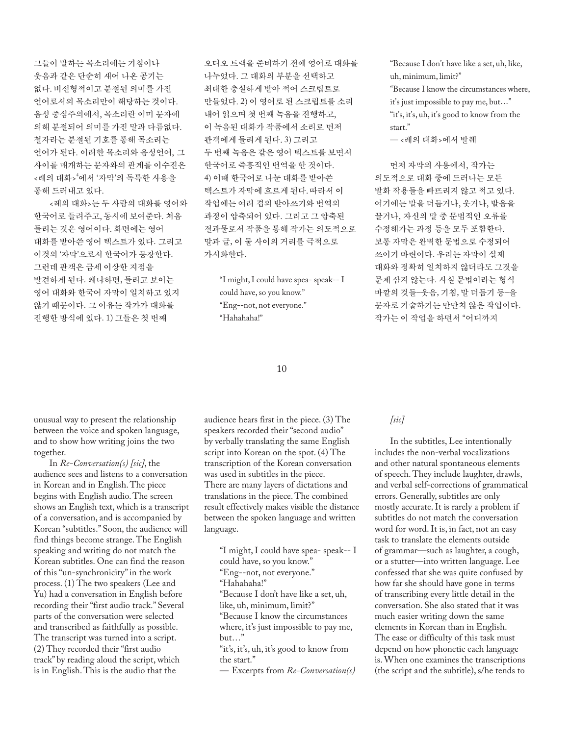그들이 말하는 목소리에는 기침이나 웃음과 같은 단순히 새어 나온 공기는 없다. 비선형적이고 분절된 의미를 가진 언어로서의 목소리만이 해당하는 것이다. 음성 중심주의에서, 목소리란 이미 문자에 의해 분절되어 의미를 가진 말과 다름없다. 철자라는 분절된 기호를 통해 목소리는 언어가 된다. 이러한 목소리와 음성언어, 그 사이를 매개하는 문자와의 관계를 이수진은 <레의 대화>4 에서 '자막'의 독특한 사용을 통해 드러내고 있다.

 <레의 대화>는 두 사람의 대화를 영어와 한국어로 들려주고, 동시에 보여준다. 처음 들리는 것은 영어이다. 화면에는 영어 대화를 받아쓴 영어 텍스트가 있다. 그리고 이것의 '자막'으로서 한국어가 등장한다. 그런데 관객은 금세 이상한 지점을 발견하게 된다. 왜냐하면, 들리고 보이는 영어 대화와 한국어 자막이 일치하고 있지 않기 때문이다. 그 이유는 작가가 대화를 진행한 방식에 있다. 1) 그들은 첫 번째

오디오 트랙을 준비하기 전에 영어로 대화를 나누었다. 그 대화의 부분을 선택하고 최대한 충실하게 받아 적어 스크립트로 만들었다. 2) 이 영어로 된 스크립트를 소리 내어 읽으며 첫 번째 녹음을 진행하고, 이 녹음된 대화가 작품에서 소리로 먼저 관객에게 들리게 된다. 3) 그리고 두 번째 녹음은 같은 영어 텍스트를 보면서 한국어로 즉흥적인 번역을 한 것이다. 4) 이때 한국어로 나눈 대화를 받아쓴 텍스트가 자막에 흐르게 된다. 따라서 이 작업에는 여러 겹의 받아쓰기와 번역의 과정이 압축되어 있다. 그리고 그 압축된 결과물로서 작품을 통해 작가는 의도적으로 말과 글, 이 둘 사이의 거리를 극적으로 가시화한다.

 "I might, I could have spea- speak-- I could have, so you know." "Eng--not, not everyone." "Hahahaha!"

#### 10

unusual way to present the relationship between the voice and spoken language, and to show how writing joins the two together.

In *Re-Conversation(s) [sic]*, the audience sees and listens to a conversation in Korean and in English. The piece begins with English audio. The screen shows an English text, which is a transcript of a conversation, and is accompanied by Korean "subtitles." Soon, the audience will find things become strange. The English speaking and writing do not match the Korean subtitles. One can find the reason of this "un-synchronicity" in the work process. (1) The two speakers (Lee and Yu) had a conversation in English before recording their "first audio track." Several parts of the conversation were selected and transcribed as faithfully as possible. The transcript was turned into a script. (2) They recorded their "first audio track" by reading aloud the script, which is in English. This is the audio that the

audience hears first in the piece. (3) The speakers recorded their "second audio" by verbally translating the same English script into Korean on the spot. (4) The transcription of the Korean conversation was used in subtitles in the piece. There are many layers of dictations and translations in the piece. The combined result effectively makes visible the distance between the spoken language and written language.

 "I might, I could have spea- speak-- I could have, so you know." "Eng--not, not everyone." "Hahahaha!" "Because I don't have like a set, uh, like, uh, minimum, limit?" "Because I know the circumstances where, it's just impossible to pay me, but…" "it's, it's, uh, it's good to know from the start."

— Excerpts from *Re-Conversation(s)* 

 "Because I don't have like a set, uh, like, uh, minimum, limit?"

 "Because I know the circumstances where, it's just impossible to pay me, but…" "it's, it's, uh, it's good to know from the start."

— <레의 대화>에서 발췌

먼저 자막의 사용에서, 작가는 의도적으로 대화 중에 드러나는 모든 발화 작용들을 빠뜨리지 않고 적고 있다. 여기에는 말을 더듬거나, 웃거나, 발음을 끌거나, 자신의 말 중 문법적인 오류를 수정해가는 과정 등을 모두 포함한다. 보통 자막은 완벽한 문법으로 수정되어 쓰이기 마련이다. 우리는 자막이 실제 대화와 정확히 일치하지 않더라도 그것을 문제 삼지 않는다. 사실 문법이라는 형식 바깥의 것들–웃음, 기침, 말 더듬기 등–을 문자로 기술하기는 만만치 않은 작업이다. 작가는 이 작업을 하면서 "어디까지

# *[sic]*

In the subtitles, Lee intentionally includes the non-verbal vocalizations and other natural spontaneous elements of speech. They include laughter, drawls, and verbal self-corrections of grammatical errors. Generally, subtitles are only mostly accurate. It is rarely a problem if subtitles do not match the conversation word for word. It is, in fact, not an easy task to translate the elements outside of grammar—such as laughter, a cough, or a stutter—into written language. Lee confessed that she was quite confused by how far she should have gone in terms of transcribing every little detail in the conversation. She also stated that it was much easier writing down the same elements in Korean than in English. The ease or difficulty of this task must depend on how phonetic each language is. When one examines the transcriptions (the script and the subtitle), s/he tends to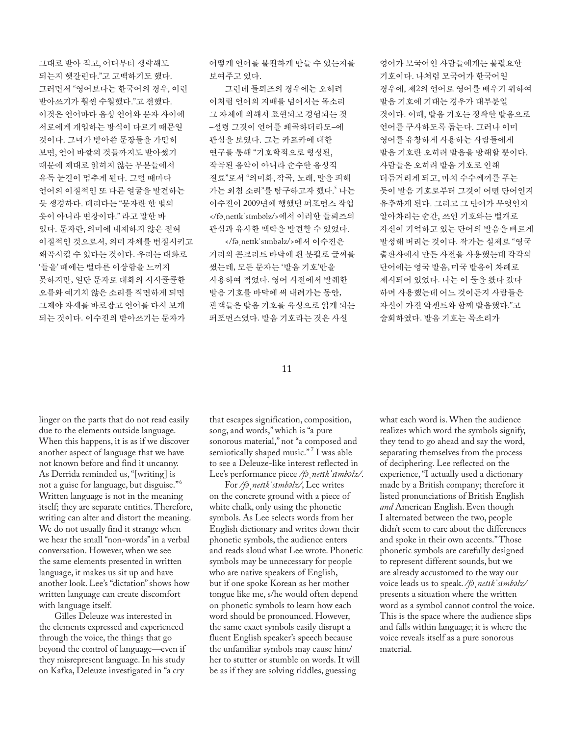그대로 받아 적고, 어디부터 생략해도 되는지 헷갈린다."고 고백하기도 했다. 그러면서 "영어보다는 한국어의 경우, 이런 받아쓰기가 훨씬 수월했다."고 전했다. 이것은 언어마다 음성 언어와 문자 사이에 서로에게 개입하는 방식이 다르기 때문일 것이다. 그녀가 받아쓴 문장들을 가만히 보면, 언어 바깥의 것들까지도 받아썼기 때문에 제대로 읽히지 않는 부분들에서 유독 눈길이 멈추게 된다. 그럴 때마다 언어의 이질적인 또 다른 얼굴을 발견하는 듯 생경하다. 데리다는 "문자란 한 벌의 옷이 아니라 변장이다." 라고 말한 바 있다. 문자란, 의미에 내재하지 않은 전혀 이질적인 것으로서, 의미 자체를 변질시키고 왜곡시킬 수 있다는 것이다. 우리는 대화로 '들을' 때에는 별다른 이상함을 느끼지 못하지만, 일단 문자로 대화의 시시콜콜한 오류와 예기치 않은 소리를 직면하게 되면 그제야 자세를 바로잡고 언어를 다시 보게 되는 것이다. 이수진의 받아쓰기는 문자가

어떻게 언어를 불편하게 만들 수 있는지를 보여주고 있다.

그런데 들뢰즈의 경우에는 오히려 이처럼 언어의 지배를 넘어서는 목소리 그 자체에 의해서 표현되고 경험되는 것 –설령 그것이 언어를 왜곡하더라도–에 관심을 보였다. 그는 카프카에 대한 연구를 통해 "기호학적으로 형성된, 작곡된 음악이 아니라 순수한 음성적 질료"로서 "의미화, 작곡, 노래, 말을 피해 가는 외침 소리"를 탐구하고자 했다.<sup>5</sup> 나는 이수진이 2009년에 행했던 퍼포먼스 작업 </fə netik simbəlz/>에서 이러한 들뢰즈의 관심과 유사한 맥락을 발견할 수 있었다.

</fə netīkˈsīmbəlz/>에서 이수진은 거리의 콘크리트 바닥에 흰 분필로 글씨를 썼는데, 모든 문자는 '발음 기호'만을 사용하여 적었다. 영어 사전에서 발췌한 발음 기호를 바닥에 써 내려가는 동안, 관객들은 발음 기호를 육성으로 읽게 되는 퍼포먼스였다. 발음 기호라는 것은 사실

영어가 모국어인 사람들에게는 불필요한 기호이다. 나처럼 모국어가 한국어일 경우에, 제2의 언어로 영어를 배우기 위하여 발음 기호에 기대는 경우가 대부분일 것이다. 이때, 발음 기호는 정확한 발음으로 언어를 구사하도록 돕는다. 그러나 이미 영어를 유창하게 사용하는 사람들에게 발음 기호란 오히려 발음을 방해할 뿐이다. 사람들은 오히려 발음 기호로 인해 더듬거리게 되고, 마치 수수께끼를 푸는 듯이 발음 기호로부터 그것이 어떤 단어인지 유추하게 된다. 그리고 그 단어가 무엇인지 알아차리는 순간, 쓰인 기호와는 별개로 자신이 기억하고 있는 단어의 발음을 빠르게 발성해 버리는 것이다. 작가는 실제로 "영국 출판사에서 만든 사전을 사용했는데 각각의 단어에는 영국 발음, 미국 발음이 차례로 제시되어 있었다. 나는 이 둘을 왔다 갔다 하며 사용했는데 어느 것이든지 사람들은 자신이 가진 악센트와 함께 발음했다."고 술회하였다. 발음 기호는 목소리가

# 11

linger on the parts that do not read easily due to the elements outside language. When this happens, it is as if we discover another aspect of language that we have not known before and find it uncanny. As Derrida reminded us, "[writing] is not a guise for language, but disguise."<sup>6</sup> Written language is not in the meaning itself; they are separate entities. Therefore, writing can alter and distort the meaning. We do not usually find it strange when we hear the small "non-words" in a verbal conversation. However, when we see the same elements presented in written language, it makes us sit up and have another look. Lee's "dictation" shows how written language can create discomfort with language itself.

Gilles Deleuze was interested in the elements expressed and experienced through the voice, the things that go beyond the control of language—even if they misrepresent language. In his study on Kafka, Deleuze investigated in "a cry

that escapes signification, composition, song, and words," which is "a pure sonorous material," not "a composed and semiotically shaped music." 7 I was able to see a Deleuze-like interest reflected in Lee's performance piece */fӞӏnetضkӌsضmbӞlz/*.

For */fӞӏnetضkӌsضmbӞlz/*, Lee writes on the concrete ground with a piece of white chalk, only using the phonetic symbols. As Lee selects words from her English dictionary and writes down their phonetic symbols, the audience enters and reads aloud what Lee wrote. Phonetic symbols may be unnecessary for people who are native speakers of English, but if one spoke Korean as her mother tongue like me, s/he would often depend on phonetic symbols to learn how each word should be pronounced. However, the same exact symbols easily disrupt a fluent English speaker's speech because the unfamiliar symbols may cause him/ her to stutter or stumble on words. It will be as if they are solving riddles, guessing

what each word is. When the audience realizes which word the symbols signify, they tend to go ahead and say the word, separating themselves from the process of deciphering. Lee reflected on the experience, "I actually used a dictionary made by a British company; therefore it listed pronunciations of British English *and* American English. Even though I alternated between the two, people didn't seem to care about the differences and spoke in their own accents." Those phonetic symbols are carefully designed to represent different sounds, but we are already accustomed to the way our *voice leads us to speak.* /*f*<sup>∂</sup>*, netIk 'sImbalz*/ presents a situation where the written word as a symbol cannot control the voice. This is the space where the audience slips and falls within language; it is where the voice reveals itself as a pure sonorous material.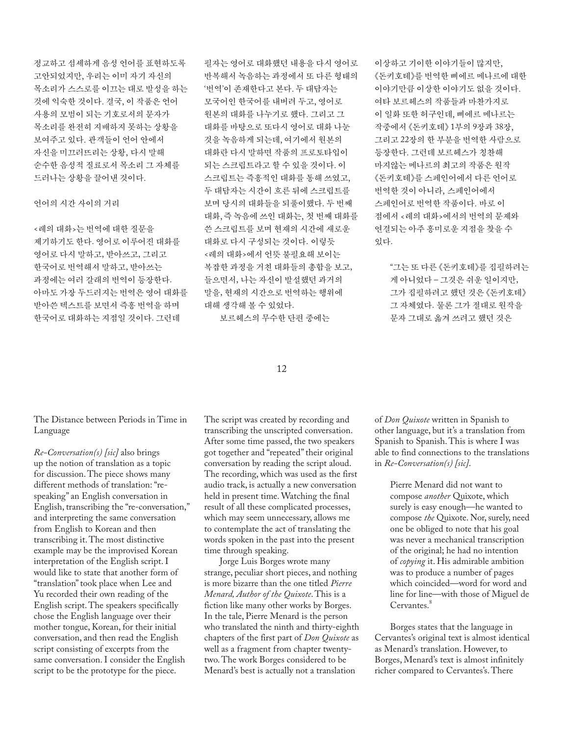정교하고 섬세하게 음성 언어를 표현하도록 고안되었지만, 우리는 이미 자기 자신의 목소리가 스스로를 이끄는 대로 발성을 하는 것에 익숙한 것이다. 결국, 이 작품은 언어 사용의 모범이 되는 기호로서의 문자가 목소리를 완전히 지배하지 못하는 상황을 보여주고 있다. 관객들이 언어 안에서 자신을 미끄러뜨리는 상황, 다시 말해 순수한 음성적 질료로서 목소리 그 자체를 드러나는 상황을 끌어낸 것이다.

# 언어의 시간 사이의 거리

<레의 대화>는 번역에 대한 질문을 제기하기도 한다. 영어로 이루어진 대화를 영어로 다시 말하고, 받아쓰고, 그리고 한국어로 번역해서 말하고, 받아쓰는 과정에는 여러 갈래의 번역이 등장한다. 아마도 가장 두드러지는 번역은 영어 대화를 받아쓴 텍스트를 보면서 즉흥 번역을 하며 한국어로 대화하는 지점일 것이다. 그런데

필자는 영어로 대화했던 내용을 다시 영어로 반복해서 녹음하는 과정에서 또 다른 형태의 '번역'이 존재한다고 본다. 두 대담자는 모국어인 한국어를 내버려 두고, 영어로 원본의 대화를 나누기로 했다. 그리고 그 대화를 바탕으로 또다시 영어로 대화 나눈 것을 녹음하게 되는데, 여기에서 원본의 대화란 다시 말하면 작품의 프로토타입이 되는 스크립트라고 할 수 있을 것이다. 이 스크립트는 즉흥적인 대화를 통해 쓰였고, 두 대담자는 시간이 흐른 뒤에 스크립트를 보며 당시의 대화들을 되풀이했다. 두 번째 대화, 즉 녹음에 쓰인 대화는, 첫 번째 대화를 쓴 스크립트를 보며 현재의 시간에 새로운 대화로 다시 구성되는 것이다. 이렇듯 <레의 대화>에서 언뜻 불필요해 보이는 복잡한 과정을 거친 대화들의 총합을 보고, 들으면서, 나는 자신이 발설했던 과거의 말을, 현재의 시간으로 번역하는 행위에 대해 생각해 볼 수 있었다.

보르헤스의 무수한 단편 중에는

이상하고 기이한 이야기들이 많지만, 《돈키호테》를 번역한 삐에르 메나르에 대한 이야기만큼 이상한 이야기도 없을 것이다. 여타 보르헤스의 작품들과 마찬가지로 이 일화 또한 허구인데, 삐에르 메나르는 작중에서 《돈키호테》 1부의 9장과 38장, 그리고 22장의 한 부분을 번역한 사람으로 등장한다. 그런데 보르헤스가 칭찬해 마지않는 메나르의 최고의 작품은 원작 《돈키호테》를 스페인어에서 다른 언어로 번역한 것이 아니라, 스페인어에서 스페인어로 번역한 작품이다. 바로 이 점에서 <레의 대화>에서의 번역의 문제와 연결되는 아주 흥미로운 지점을 찾을 수 있다.

 "그는 또 다른 《돈키호테》를 집필하려는 게 아니었다 – 그것은 쉬운 일이지만, 그가 집필하려고 했던 것은 《돈키호테》 그 자체였다. 물론 그가 절대로 원작을 문자 그대로 옮겨 쓰려고 했던 것은

#### 12

The Distance between Periods in Time in Language

*Re-Conversation(s) [sic]* also brings up the notion of translation as a topic for discussion. The piece shows many different methods of translation: "respeaking" an English conversation in English, transcribing the "re-conversation," and interpreting the same conversation from English to Korean and then transcribing it. The most distinctive example may be the improvised Korean interpretation of the English script. I would like to state that another form of "translation" took place when Lee and Yu recorded their own reading of the English script. The speakers specifically chose the English language over their mother tongue, Korean, for their initial conversation, and then read the English script consisting of excerpts from the same conversation. I consider the English script to be the prototype for the piece.

The script was created by recording and transcribing the unscripted conversation. After some time passed, the two speakers got together and "repeated" their original conversation by reading the script aloud. The recording, which was used as the first audio track, is actually a new conversation held in present time. Watching the final result of all these complicated processes, which may seem unnecessary, allows me to contemplate the act of translating the words spoken in the past into the present time through speaking.

Jorge Luis Borges wrote many strange, peculiar short pieces, and nothing is more bizarre than the one titled *Pierre Menard, Author of the Quixote*. This is a fiction like many other works by Borges. In the tale, Pierre Menard is the person who translated the ninth and thirty-eighth chapters of the first part of *Don Quixote* as well as a fragment from chapter twentytwo. The work Borges considered to be Menard's best is actually not a translation

of *Don Quixote* written in Spanish to other language, but it's a translation from Spanish to Spanish. This is where I was able to find connections to the translations in *Re-Conversation(s) [sic]*.

 Pierre Menard did not want to compose *another* Quixote, which surely is easy enough—he wanted to compose *the* Quixote. Nor, surely, need one be obliged to note that his goal was never a mechanical transcription of the original; he had no intention of *copying* it. His admirable ambition was to produce a number of pages which coincided—word for word and line for line—with those of Miguel de Cervantes.<sup>8</sup>

Borges states that the language in Cervantes's original text is almost identical as Menard's translation. However, to Borges, Menard's text is almost infinitely richer compared to Cervantes's. There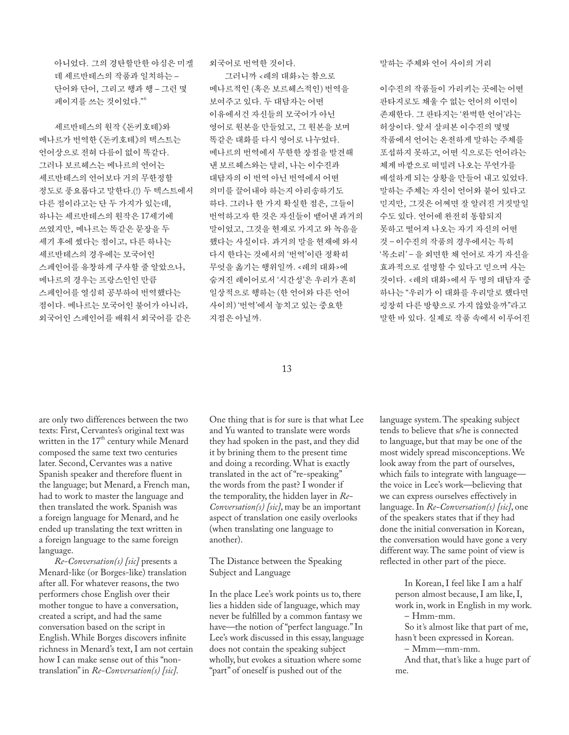아니었다. 그의 경탄할만한 야심은 미겔 데 세르반테스의 작품과 일치하는 – 단어와 단어, 그리고 행과 행 – 그런 몇 페이지를 쓰는 것이었다." 6

세르반테스의 원작 《돈키호테》와 메나르가 번역한 《돈키호테》의 텍스트는 언어상으로 전혀 다름이 없이 똑같다. 그러나 보르헤스는 메나르의 언어는 세르반테스의 언어보다 거의 무한정할 정도로 풍요롭다고 말한다.(!) 두 텍스트에서 다른 점이라고는 단 두 가지가 있는데, 하나는 세르반테스의 원작은 17세기에 쓰였지만, 메나르는 똑같은 문장을 두 세기 후에 썼다는 점이고, 다른 하나는 세르반테스의 경우에는 모국어인 스페인어를 유창하게 구사할 줄 알았으나, 메나르의 경우는 프랑스인인 만큼 스페인어를 열심히 공부하여 번역했다는 점이다. 메나르는 모국어인 불어가 아니라, 외국어인 스페인어를 배워서 외국어를 같은

외국어로 번역한 것이다.

그러니까 <레의 대화>는 참으로 메나르적인 (혹은 보르헤스적인) 번역을 보여주고 있다. 두 대담자는 어떤 이유에서건 자신들의 모국어가 아닌 영어로 원본을 만들었고, 그 원본을 보며 똑같은 대화를 다시 영어로 나누었다. 메나르의 번역에서 무한한 장점을 발견해 낸 보르헤스와는 달리, 나는 이수진과 대담자의 이 번역 아닌 번역에서 어떤 의미를 끌어내야 하는지 아리송하기도 하다. 그러나 한 가지 확실한 점은, 그들이 번역하고자 한 것은 자신들이 뱉어낸 과거의 말이었고, 그것을 현재로 가지고 와 녹음을 했다는 사실이다. 과거의 말을 현재에 와서 다시 한다는 것에서의 '번역'이란 정확히 무엇을 옮기는 행위일까. <레의 대화>에 숨겨진 레이어로서 '시간성'은 우리가 흔히 일상적으로 행하는 (한 언어와 다른 언어 사이의) '번역'에서 놓치고 있는 중요한 지점은 아닐까.

말하는 주체와 언어 사이의 거리

이수진의 작품들이 가리키는 곳에는 어떤 판타지로도 채울 수 없는 언어의 이면이 존재한다. 그 판타지는 '완벽한 언어'라는 허상이다. 앞서 살펴본 이수진의 몇몇 작품에서 언어는 온전하게 말하는 주체를 포섭하지 못하고, 어떤 식으로든 언어라는 체계 바깥으로 떠밀려 나오는 무언가를 배설하게 되는 상황을 만들어 내고 있었다. 말하는 주체는 자신이 언어와 붙어 있다고 믿지만, 그것은 어쩌면 잘 알려진 거짓말일 수도 있다. 언어에 완전히 통합되지 못하고 떨어져 나오는 자기 자신의 어떤 것 – 이수진의 작품의 경우에서는 특히 '목소리' – 을 외면한 채 언어로 자기 자신을 효과적으로 설명할 수 있다고 믿으며 사는 것이다. <레의 대화>에서 두 명의 대담자 중 하나는 "우리가 이 대화를 우리말로 했다면 굉장히 다른 방향으로 가지 않았을까"라고 말한 바 있다. 실제로 작품 속에서 이루어진

# 13

are only two differences between the two texts: First, Cervantes's original text was written in the 17<sup>th</sup> century while Menard composed the same text two centuries later. Second, Cervantes was a native Spanish speaker and therefore fluent in the language; but Menard, a French man, had to work to master the language and then translated the work. Spanish was a foreign language for Menard, and he ended up translating the text written in a foreign language to the same foreign language.

*Re-Conversation(s) [sic]* presents a Menard-like (or Borges-like) translation after all. For whatever reasons, the two performers chose English over their mother tongue to have a conversation, created a script, and had the same conversation based on the script in English. While Borges discovers infinite richness in Menard's text, I am not certain how I can make sense out of this "nontranslation" in *Re-Conversation(s) [sic]*.

One thing that is for sure is that what Lee and Yu wanted to translate were words they had spoken in the past, and they did it by brining them to the present time and doing a recording. What is exactly translated in the act of "re-speaking" the words from the past? I wonder if the temporality, the hidden layer in *Re-Conversation(s) [sic]*, may be an important aspect of translation one easily overlooks (when translating one language to another).

The Distance between the Speaking Subject and Language

In the place Lee's work points us to, there lies a hidden side of language, which may never be fulfilled by a common fantasy we have—the notion of "perfect language." In Lee's work discussed in this essay, language does not contain the speaking subject wholly, but evokes a situation where some "part" of oneself is pushed out of the

language system. The speaking subject tends to believe that s/he is connected to language, but that may be one of the most widely spread misconceptions. We look away from the part of ourselves, which fails to integrate with language the voice in Lee's work—believing that we can express ourselves effectively in language. In *Re-Conversation(s) [sic]*, one of the speakers states that if they had done the initial conversation in Korean, the conversation would have gone a very different way. The same point of view is reflected in other part of the piece.

> In Korean, I feel like I am a half person almost because, I am like, I, work in, work in English in my work. – Hmm-mm.

 So it*'*s almost like that part of me, hasn*'*t been expressed in Korean.

– Mmm—mm-mm.

 And that, that*'*s like a huge part of me.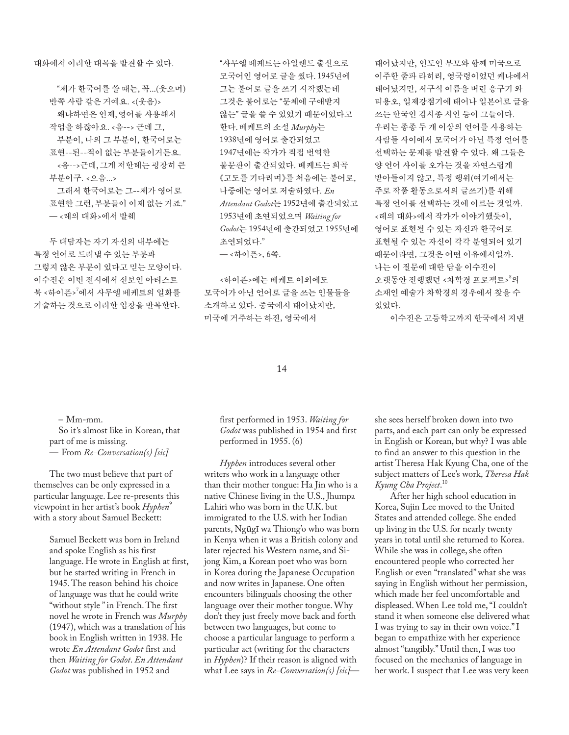대화에서 이러한 대목을 발견할 수 있다.

 "제가 한국어를 쓸 때는, 꼭...(웃으며) 반쪽 사람 같은 거예요. <(웃음)> 왜냐하면은 인제, 영어를 사용해서 작업을 하잖아요. <음--> 근데 그, 부분이, 나의 그 부분이, 한국어로는 표현--된--적이 없는 부분들이거든요. <음-->근데, 그게 저한테는 굉장히 큰 부분이구. <으음...> 그래서 한국어로는 그--제가 영어로

표현한 그런, 부분들이 이제 없는 거죠." — <레의 대화>에서 발췌

두 대담자는 자기 자신의 내부에는 특정 언어로 드러낼 수 있는 부분과 그렇지 않은 부분이 있다고 믿는 모양이다. 이수진은 이번 전시에서 선보인 아티스트 북 <하이픈><sup>7</sup>에서 사무엘 베케트의 일화를 기술하는 것으로 이러한 입장을 반복한다.

 "사무엘 베케트는 아일랜드 출신으로 모국어인 영어로 글을 썼다. 1945년에 그는 불어로 글을 쓰기 시작했는데 그것은 불어로는 "문체에 구애받지 않는" 글을 쓸 수 있었기 때문이었다고 한다. 베케트의 소설 *Murphy*는 1938년에 영어로 출간되었고 1947년에는 작가가 직접 번역한 불문판이 출간되었다. 베케트는 희곡 《고도를 기다리며》를 처음에는 불어로, 나중에는 영어로 저술하였다. *En Attendant Godot*는 1952년에 출간되었고 1953년에 초연되었으며 *Waiting for Godot*는 1954년에 출간되었고 1955년에 초연되었다."

— <하이픈>, 6쪽.

 <하이픈>에는 베케트 이외에도 모국어가 아닌 언어로 글을 쓰는 인물들을 소개하고 있다. 중국에서 태어났지만, 미국에 거주하는 하진, 영국에서

태어났지만, 인도인 부모와 함께 미국으로 이주한 줌파 라히리, 영국령이었던 케냐에서 태어났지만, 서구식 이름을 버린 응구기 와 티용오, 일제강점기에 태어나 일본어로 글을 쓰는 한국인 김시종 시인 등이 그들이다. 우리는 종종 두 개 이상의 언어를 사용하는 사람들 사이에서 모국어가 아닌 특정 언어를 선택하는 문제를 발견할 수 있다. 왜 그들은 양 언어 사이를 오가는 것을 자연스럽게 받아들이지 않고, 특정 행위(여기에서는 주로 작품 활동으로서의 글쓰기)를 위해 특정 언어를 선택하는 것에 이르는 것일까. <레의 대화>에서 작가가 이야기했듯이, 영어로 표현될 수 있는 자신과 한국어로 표현될 수 있는 자신이 각각 분열되어 있기 때문이라면, 그것은 어떤 이유에서일까. 나는 이 질문에 대한 답을 이수진이 오랫동안 진행했던 <차학경 프로젝트><sup>8</sup>의 소재인 예술가 차학경의 경우에서 찾을 수 있었다.

이수진은 고등학교까지 한국에서 지낸

# 14

– Mm-mm.

 So it*'*s almost like in Korean, that part of me is missing. — From *Re-Conversation(s) [sic]*

The two must believe that part of themselves can be only expressed in a particular language. Lee re-presents this viewpoint in her artist's book *Hyphen*<sup>9</sup> with a story about Samuel Beckett:

> Samuel Beckett was born in Ireland and spoke English as his first language. He wrote in English at first, but he started writing in French in 1945. The reason behind his choice of language was that he could write "without style " in French. The first novel he wrote in French was *Murphy* (1947), which was a translation of his book in English written in 1938. He wrote *En Attendant Godot* first and then *Waiting for Godot*. *En Attendant Godot* was published in 1952 and

first performed in 1953. *Waiting for Godot* was published in 1954 and first performed in 1955. (6)

*Hyphen* introduces several other writers who work in a language other than their mother tongue: Ha Jin who is a native Chinese living in the U.S., Jhumpa Lahiri who was born in the U.K. but immigrated to the U.S. with her Indian parents, Ngũgĩ wa Thiong'o who was born in Kenya when it was a British colony and later rejected his Western name, and Sijong Kim, a Korean poet who was born in Korea during the Japanese Occupation and now writes in Japanese. One often encounters bilinguals choosing the other language over their mother tongue. Why don't they just freely move back and forth between two languages, but come to choose a particular language to perform a particular act (writing for the characters in *Hyphen*)? If their reason is aligned with what Lee says in *Re-Conversation(s) [sic]*— she sees herself broken down into two parts, and each part can only be expressed in English or Korean, but why? I was able to find an answer to this question in the artist Theresa Hak Kyung Cha, one of the subject matters of Lee's work, *Theresa Hak Kyung Cha Project*. 10

After her high school education in Korea, Sujin Lee moved to the United States and attended college. She ended up living in the U.S. for nearly twenty years in total until she returned to Korea. While she was in college, she often encountered people who corrected her English or even "translated" what she was saying in English without her permission, which made her feel uncomfortable and displeased. When Lee told me, "I couldn't stand it when someone else delivered what I was trying to say in their own voice." I began to empathize with her experience almost "tangibly." Until then, I was too focused on the mechanics of language in her work. I suspect that Lee was very keen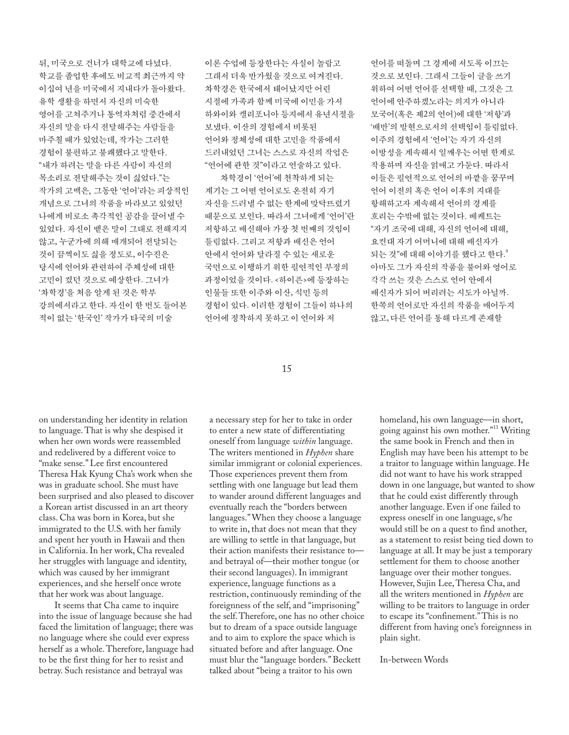뒤, 미국으로 건너가 대학교에 다녔다. 학교를 졸업한 후에도 비교적 최근까지 약 이십여 년을 미국에서 지내다가 돌아왔다. 유학 생활을 하면서 자신의 미숙한 영어를 고쳐주거나 통역자처럼 중간에서 자신의 말을 다시 전달해주는 사람들을 마주칠 때가 있었는데, 작가는 그러한 경험이 불편하고 불쾌했다고 말한다. "내가 하려는 말을 다른 사람이 자신의 목소리로 전달해주는 것이 싫었다."는 작가의 고백은, 그동안 '언어'라는 피상적인 개념으로 그녀의 작품을 바라보고 있었던 나에게 비로소 촉각적인 공감을 끌어낼 수 있었다. 자신이 뱉은 말이 그대로 전해지지 않고, 누군가에 의해 매개되어 전달되는 것이 끔찍이도 싫을 정도로, 이수진은 당시에 언어와 관련하여 주체성에 대한 고민이 컸던 것으로 예상한다. 그녀가 '차학경'을 처음 알게 된 것은 학부 강의에서라고 한다. 자신이 한 번도 들어본 적이 없는 '한국인' 작가가 타국의 미술

이론 수업에 등장한다는 사실이 놀랍고 그래서 더욱 반가웠을 것으로 여겨진다. 차학경은 한국에서 태어났지만 어린 시절에 가족과 함께 미국에 이민을 가서 하와이와 캘리포니아 등지에서 유년시절을 보냈다. 이산의 경험에서 비롯된 언어와 정체성에 대한 고민을 작품에서 드러내었던 그녀는 스스로 자신의 작업은 "언어에 관한 것"이라고 언술하고 있다. 차학경이 '언어'에 천착하게 되는

계기는 그 어떤 언어로도 온전히 자기 자신을 드러낼 수 없는 한계에 맞닥뜨렸기 때문으로 보인다. 따라서 그녀에게 '언어'란 저항하고 배신해야 가장 첫 번째의 것임이 틀림없다. 그리고 저항과 배신은 언어 안에서 언어와 달라질 수 있는 새로운 국면으로 이행하기 위한 필연적인 부정의 과정이었을 것이다. <하이픈>에 등장하는 인물들 또한 이주와 이산, 식민 등의 경험이 있다. 이러한 경험이 그들이 하나의 언어에 정착하지 못하고 이 언어와 저

언어를 떠돌며 그 경계에 서도록 이끄는 것으로 보인다. 그래서 그들이 글을 쓰기 위하여 어떤 언어를 선택할 때, 그것은 그 언어에 안주하겠노라는 의지가 아니라 모국어(혹은 제2의 언어)에 대한 '저항'과 '배반'의 발현으로서의 선택임이 틀림없다. 이주의 경험에서 '언어'는 자기 자신의 이방성을 계속해서 일깨우는 어떤 한계로 작용하며 자신을 얽매고 가둔다. 따라서 이들은 필연적으로 언어의 바깥을 꿈꾸며 언어 이전의 혹은 언어 이후의 지대를 항해하고자 계속해서 언어의 경계를 흐리는 수밖에 없는 것이다. 베케트는 "자기 조국에 대해, 자신의 언어에 대해, 요컨대 자기 어머니에 대해 배신자가 되는 것"에 대해 이야기를 했다고 한다. $\lq$ 아마도 그가 자신의 작품을 불어와 영어로 각각 쓰는 것은 스스로 언어 안에서 배신자가 되어 버리려는 시도가 아닐까. 한쪽의 언어로만 자신의 작품을 매어두지 않고, 다른 언어를 통해 다르게 존재할

## 15

on understanding her identity in relation to language. That is why she despised it when her own words were reassembled and redelivered by a different voice to "make sense." Lee first encountered Theresa Hak Kyung Cha's work when she was in graduate school. She must have been surprised and also pleased to discover a Korean artist discussed in an art theory class. Cha was born in Korea, but she immigrated to the U.S. with her family and spent her youth in Hawaii and then in California. In her work, Cha revealed her struggles with language and identity, which was caused by her immigrant experiences, and she herself once wrote that her work was about language.

It seems that Cha came to inquire into the issue of language because she had faced the limitation of language; there was no language where she could ever express herself as a whole. Therefore, language had to be the first thing for her to resist and betray. Such resistance and betrayal was

a necessary step for her to take in order to enter a new state of differentiating oneself from language *within* language. The writers mentioned in *Hyphen* share similar immigrant or colonial experiences. Those experiences prevent them from settling with one language but lead them to wander around different languages and eventually reach the "borders between languages." When they choose a language to write in, that does not mean that they are willing to settle in that language, but their action manifests their resistance to and betrayal of—their mother tongue (or their second languages). In immigrant experience, language functions as a restriction, continuously reminding of the foreignness of the self, and "imprisoning" the self. Therefore, one has no other choice but to dream of a space outside language and to aim to explore the space which is situated before and after language. One must blur the "language borders." Beckett talked about "being a traitor to his own

homeland, his own language—in short, going against his own mother."11 Writing the same book in French and then in English may have been his attempt to be a traitor to language within language. He did not want to have his work strapped down in one language, but wanted to show that he could exist differently through another language. Even if one failed to express oneself in one language, s/he would still be on a quest to find another, as a statement to resist being tied down to language at all. It may be just a temporary settlement for them to choose another language over their mother tongues. However, Sujin Lee, Theresa Cha, and all the writers mentioned in *Hyphen* are willing to be traitors to language in order to escape its "confinement." This is no different from having one's foreignness in plain sight.

# In-between Words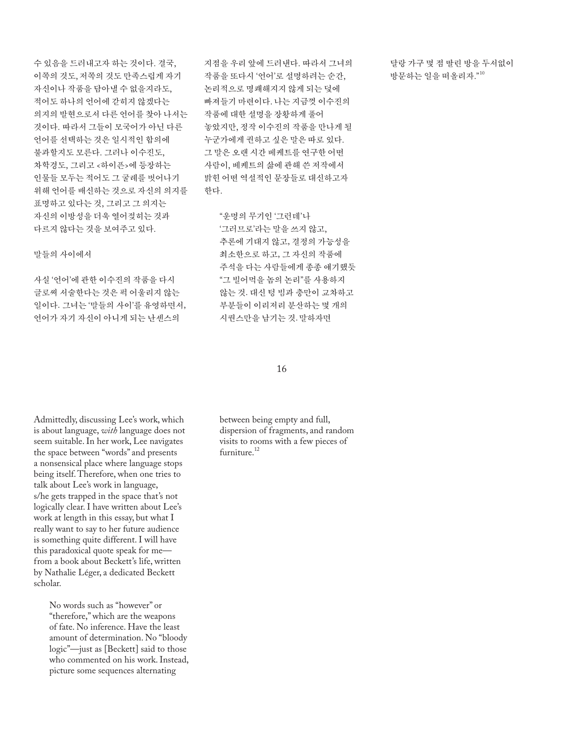수 있음을 드러내고자 하는 것이다. 결국, 이쪽의 것도, 저쪽의 것도 만족스럽게 자기 자신이나 작품을 담아낼 수 없을지라도, 적어도 하나의 언어에 갇히지 않겠다는 의지의 발현으로서 다른 언어를 찾아 나서는 것이다. 따라서 그들이 모국어가 아닌 다른 언어를 선택하는 것은 일시적인 합의에 불과할지도 모른다. 그러나 이수진도, 차학경도, 그리고 <하이픈>에 등장하는 인물들 모두는 적어도 그 굴레를 벗어나기 위해 언어를 배신하는 것으로 자신의 의지를 표명하고 있다는 것, 그리고 그 의지는 자신의 이방성을 더욱 열어젖히는 것과 다르지 않다는 것을 보여주고 있다.

말들의 사이에서

사실 '언어'에 관한 이수진의 작품을 다시 글로써 서술한다는 것은 퍽 어울리지 않는 일이다. 그녀는 '말들의 사이'를 유영하면서, 언어가 자기 자신이 아니게 되는 난센스의

지점을 우리 앞에 드러낸다. 따라서 그녀의 작품을 또다시 '언어'로 설명하려는 순간, 논리적으로 명쾌해지지 않게 되는 덫에 빠져들기 마련이다. 나는 지금껏 이수진의 작품에 대한 설명을 장황하게 풀어 놓았지만, 정작 이수진의 작품을 만나게 될 누군가에게 권하고 싶은 말은 따로 있다. 그 말은 오랜 시간 베케트를 연구한 어떤 사람이, 베케트의 삶에 관해 쓴 저작에서 밝힌 어떤 역설적인 문장들로 대신하고자 한다.

 "운명의 무기인 '그런데'나 '그러므로'라는 말을 쓰지 않고, 추론에 기대지 않고, 결정의 가능성을 최소한으로 하고, 그 자신의 작품에 주석을 다는 사람들에게 종종 얘기했듯 "그 빌어먹을 놈의 논리"를 사용하지 않는 것. 대신 텅 빔과 충만이 교차하고 부분들이 이리저리 분산하는 몇 개의 시퀀스만을 남기는 것. 말하자면

16

Admittedly, discussing Lee's work, which is about language, *with* language does not seem suitable. In her work, Lee navigates the space between "words" and presents a nonsensical place where language stops being itself. Therefore, when one tries to talk about Lee's work in language, s/he gets trapped in the space that's not logically clear. I have written about Lee's work at length in this essay, but what I really want to say to her future audience is something quite different. I will have this paradoxical quote speak for me from a book about Beckett's life, written by Nathalie Léger, a dedicated Beckett scholar.

 No words such as "however" or "therefore," which are the weapons of fate. No inference. Have the least amount of determination. No "bloody logic"—just as [Beckett] said to those who commented on his work. Instead, picture some sequences alternating

between being empty and full, dispersion of fragments, and random visits to rooms with a few pieces of furniture.12

달랑 가구 몇 점 딸린 방을 두서없이 방문하는 일을 떠올리자." 10